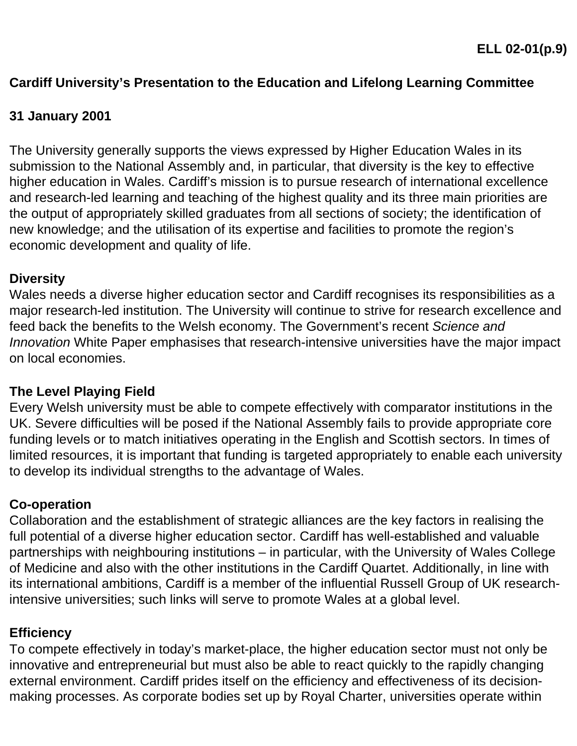## **Cardiff University's Presentation to the Education and Lifelong Learning Committee**

### **31 January 2001**

The University generally supports the views expressed by Higher Education Wales in its submission to the National Assembly and, in particular, that diversity is the key to effective higher education in Wales. Cardiff's mission is to pursue research of international excellence and research-led learning and teaching of the highest quality and its three main priorities are the output of appropriately skilled graduates from all sections of society; the identification of new knowledge; and the utilisation of its expertise and facilities to promote the region's economic development and quality of life.

#### **Diversity**

Wales needs a diverse higher education sector and Cardiff recognises its responsibilities as a major research-led institution. The University will continue to strive for research excellence and feed back the benefits to the Welsh economy. The Government's recent *Science and Innovation* White Paper emphasises that research-intensive universities have the major impact on local economies.

#### **The Level Playing Field**

Every Welsh university must be able to compete effectively with comparator institutions in the UK. Severe difficulties will be posed if the National Assembly fails to provide appropriate core funding levels or to match initiatives operating in the English and Scottish sectors. In times of limited resources, it is important that funding is targeted appropriately to enable each university to develop its individual strengths to the advantage of Wales.

#### **Co-operation**

Collaboration and the establishment of strategic alliances are the key factors in realising the full potential of a diverse higher education sector. Cardiff has well-established and valuable partnerships with neighbouring institutions – in particular, with the University of Wales College of Medicine and also with the other institutions in the Cardiff Quartet. Additionally, in line with its international ambitions, Cardiff is a member of the influential Russell Group of UK researchintensive universities; such links will serve to promote Wales at a global level.

#### **Efficiency**

To compete effectively in today's market-place, the higher education sector must not only be innovative and entrepreneurial but must also be able to react quickly to the rapidly changing external environment. Cardiff prides itself on the efficiency and effectiveness of its decisionmaking processes. As corporate bodies set up by Royal Charter, universities operate within